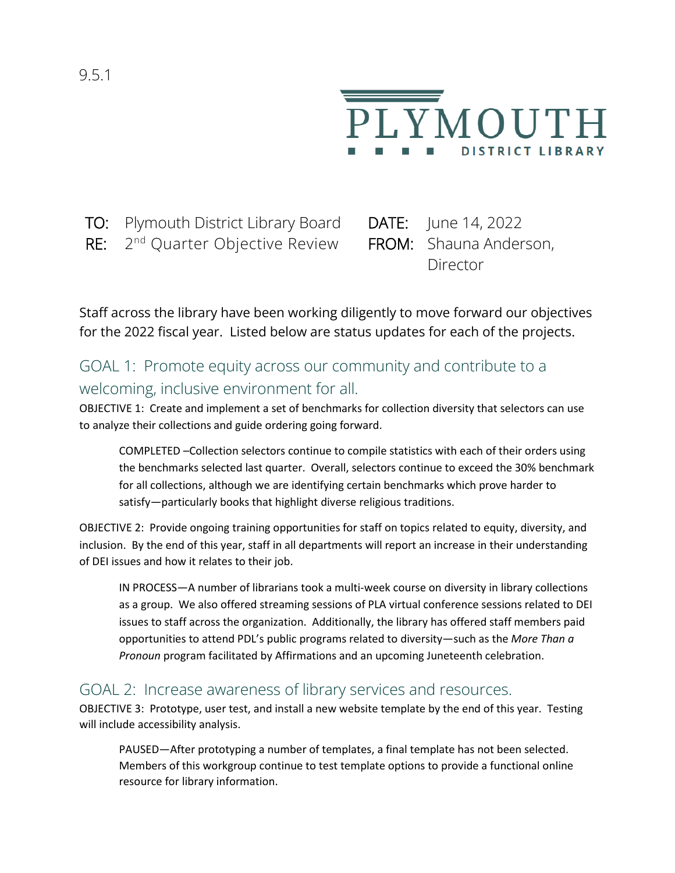

TO: Plymouth District Library Board DATE: June 14, 2022

RE: 2<sup>nd</sup> Quarter Objective Review FROM: Shauna Anderson,

Director

Staff across the library have been working diligently to move forward our objectives for the 2022 fiscal year. Listed below are status updates for each of the projects.

# GOAL 1: Promote equity across our community and contribute to a welcoming, inclusive environment for all.

OBJECTIVE 1: Create and implement a set of benchmarks for collection diversity that selectors can use to analyze their collections and guide ordering going forward.

COMPLETED –Collection selectors continue to compile statistics with each of their orders using the benchmarks selected last quarter. Overall, selectors continue to exceed the 30% benchmark for all collections, although we are identifying certain benchmarks which prove harder to satisfy—particularly books that highlight diverse religious traditions.

OBJECTIVE 2: Provide ongoing training opportunities for staff on topics related to equity, diversity, and inclusion. By the end of this year, staff in all departments will report an increase in their understanding of DEI issues and how it relates to their job.

IN PROCESS—A number of librarians took a multi-week course on diversity in library collections as a group. We also offered streaming sessions of PLA virtual conference sessions related to DEI issues to staff across the organization. Additionally, the library has offered staff members paid opportunities to attend PDL's public programs related to diversity—such as the *More Than a Pronoun* program facilitated by Affirmations and an upcoming Juneteenth celebration.

#### GOAL 2: Increase awareness of library services and resources.

OBJECTIVE 3: Prototype, user test, and install a new website template by the end of this year. Testing will include accessibility analysis.

PAUSED—After prototyping a number of templates, a final template has not been selected. Members of this workgroup continue to test template options to provide a functional online resource for library information.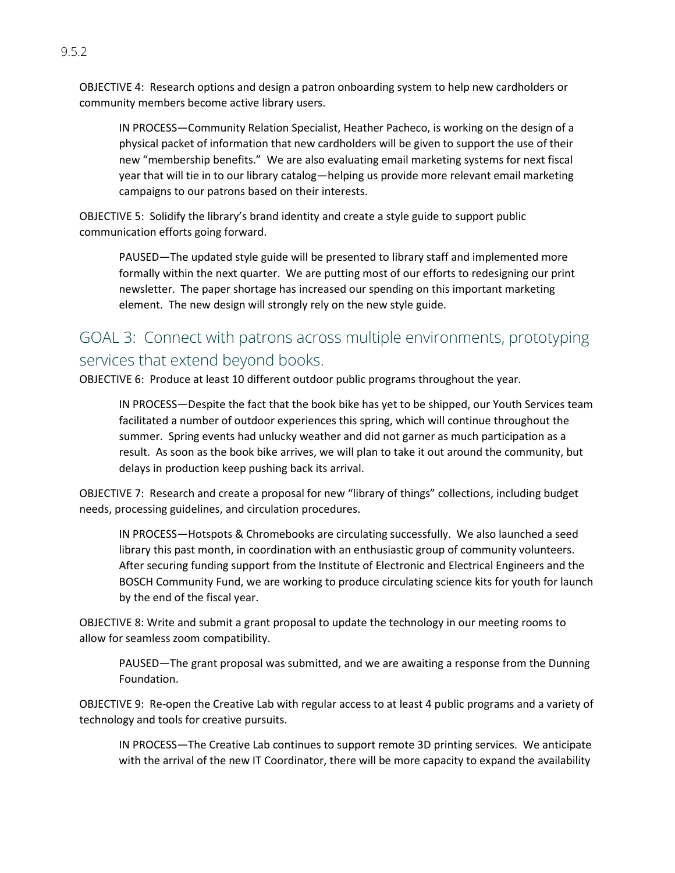OBJECTIVE 4: Research options and design a patron onboarding system to help new cardholders or community members become active library users.

IN PROCESS—Community Relation Specialist, Heather Pacheco, is working on the design of a physical packet of information that new cardholders will be given to support the use of their new "membership benefits." We are also evaluating email marketing systems for next fiscal year that will tie in to our library catalog—helping us provide more relevant email marketing campaigns to our patrons based on their interests.

OBJECTIVE 5: Solidify the library's brand identity and create a style guide to support public communication efforts going forward.

PAUSED—The updated style guide will be presented to library staff and implemented more formally within the next quarter. We are putting most of our efforts to redesigning our print newsletter. The paper shortage has increased our spending on this important marketing element. The new design will strongly rely on the new style guide.

### GOAL 3: Connect with patrons across multiple environments, prototyping services that extend beyond books.

OBJECTIVE 6: Produce at least 10 different outdoor public programs throughout the year.

IN PROCESS—Despite the fact that the book bike has yet to be shipped, our Youth Services team facilitated a number of outdoor experiences this spring, which will continue throughout the summer. Spring events had unlucky weather and did not garner as much participation as a result. As soon as the book bike arrives, we will plan to take it out around the community, but delays in production keep pushing back its arrival.

OBJECTIVE 7: Research and create a proposal for new "library of things" collections, including budget needs, processing guidelines, and circulation procedures.

IN PROCESS—Hotspots & Chromebooks are circulating successfully. We also launched a seed library this past month, in coordination with an enthusiastic group of community volunteers. After securing funding support from the Institute of Electronic and Electrical Engineers and the BOSCH Community Fund, we are working to produce circulating science kits for youth for launch by the end of the fiscal year.

OBJECTIVE 8: Write and submit a grant proposal to update the technology in our meeting rooms to allow for seamless zoom compatibility.

PAUSED—The grant proposal was submitted, and we are awaiting a response from the Dunning Foundation.

OBJECTIVE 9: Re-open the Creative Lab with regular access to at least 4 public programs and a variety of technology and tools for creative pursuits.

IN PROCESS—The Creative Lab continues to support remote 3D printing services. We anticipate with the arrival of the new IT Coordinator, there will be more capacity to expand the availability